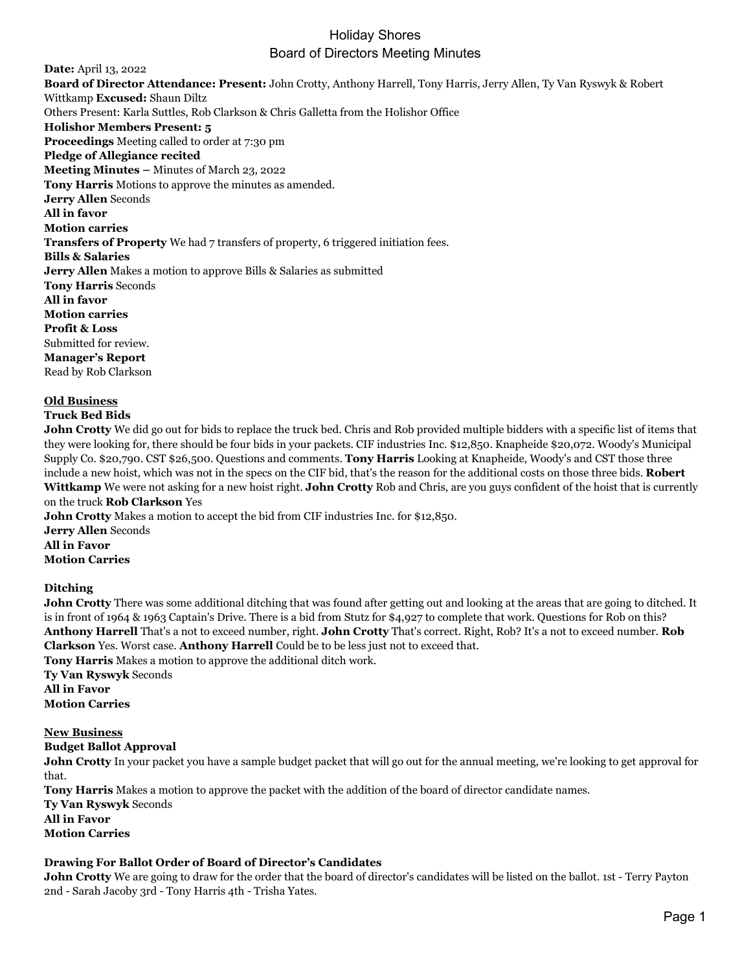## Holiday Shores Board of Directors Meeting Minutes

**Date:** April 13, 2022 **Board of Director Attendance: Present:** John Crotty, Anthony Harrell, Tony Harris, Jerry Allen, Ty Van Ryswyk & Robert Wittkamp **Excused:** Shaun Diltz Others Present: Karla Suttles, Rob Clarkson & Chris Galletta from the Holishor Office **Holishor Members Present: 5 Proceedings** Meeting called to order at 7:30 pm **Pledge of Allegiance recited Meeting Minutes –** Minutes of March 23, 2022 **Tony Harris** Motions to approve the minutes as amended. **Jerry Allen** Seconds **All in favor Motion carries Transfers of Property** We had 7 transfers of property, 6 triggered initiation fees. **Bills & Salaries Jerry Allen** Makes a motion to approve Bills & Salaries as submitted **Tony Harris** Seconds **All in favor Motion carries Profit & Loss** Submitted for review. **Manager's Report** Read by Rob Clarkson

#### **Old Business**

### **Truck Bed Bids**

**John Crotty** We did go out for bids to replace the truck bed. Chris and Rob provided multiple bidders with a specific list of items that they were looking for, there should be four bids in your packets. CIF industries Inc. \$12,850. Knapheide \$20,072. Woody's Municipal Supply Co. \$20,790. CST \$26,500. Questions and comments. **Tony Harris** Looking at Knapheide, Woody's and CST those three include a new hoist, which was not in the specs on the CIF bid, that's the reason for the additional costs on those three bids. **Robert Wittkamp** We were not asking for a new hoist right. **John Crotty** Rob and Chris, are you guys confident of the hoist that is currently on the truck **Rob Clarkson** Yes

**John Crotty** Makes a motion to accept the bid from CIF industries Inc. for \$12,850. **Jerry Allen** Seconds **All in Favor Motion Carries**

## **Ditching**

**John Crotty** There was some additional ditching that was found after getting out and looking at the areas that are going to ditched. It is in front of 1964 & 1963 Captain's Drive. There is a bid from Stutz for \$4,927 to complete that work. Questions for Rob on this? **Anthony Harrell** That's a not to exceed number, right. **John Crotty** That's correct. Right, Rob? It's a not to exceed number. **Rob Clarkson** Yes. Worst case. **Anthony Harrell** Could be to be less just not to exceed that. **Tony Harris** Makes a motion to approve the additional ditch work.

**Ty Van Ryswyk** Seconds **All in Favor Motion Carries**

#### **New Business Budget Ballot Approval**

**John Crotty** In your packet you have a sample budget packet that will go out for the annual meeting, we're looking to get approval for that.

**Tony Harris** Makes a motion to approve the packet with the addition of the board of director candidate names. **Ty Van Ryswyk** Seconds **All in Favor Motion Carries**

## **Drawing For Ballot Order of Board of Director's Candidates**

**John Crotty** We are going to draw for the order that the board of director's candidates will be listed on the ballot. 1st - Terry Payton 2nd - Sarah Jacoby 3rd - Tony Harris 4th - Trisha Yates.